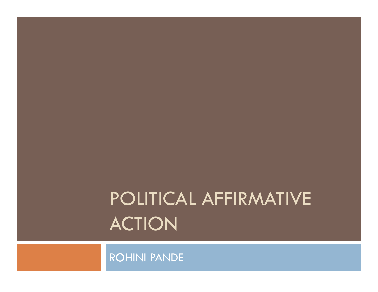# POLITICAL AFFIRMATIVE ACTION

ROHINI PANDE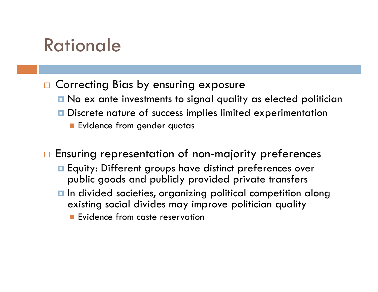#### Rationale

#### □ Correcting Bias by ensuring exposure

- **n** No ex ante investments to signal quality as elected politician
- **n** Discrete nature of success implies limited experimentation
	- **Exidence from gender quotas**

 $\Box$ Ensuring representation of non-majority preferences

- Equity: Different groups have distinct preferences over public goods and publicly provided private transfers
- In divided societies, organizing political competition along<br>existing social divides may improve nelitiains quality. existing social divides may improve politician quality
	- **Exidence from caste reservation**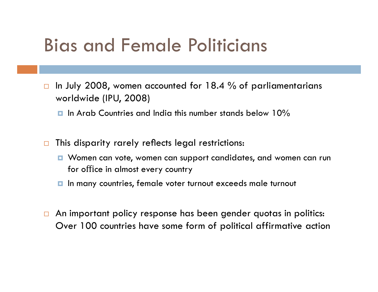#### Bias and Female Politicians

- $\Box$  In July 2008, women accounted for 18.4 % of parliamentarians worldwide (IPU, 2008)
	- $\blacksquare$  In Arab Countries and India this number stands below 10%
- $\Box$ This disparity rarely reflects legal restrictions:
	- for office in almost every country Women can vote, women can support candidates, and women can run<br>Antistance of the candidates of the candidates and women can run
	- **I** In many countries, female voter turnout exceeds male turnout
- $\Box$  An important policy response has been gender quotas in politics: Over 100 countries have some form of political affirmative action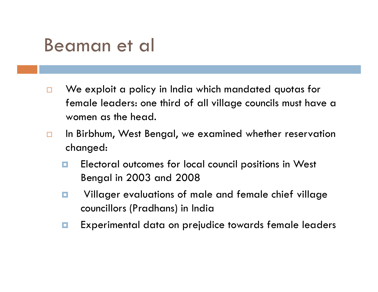#### Beaman et al

- $\Box$  We exploit a policy in India which mandated quotas for female leaders: one third of all village councils must have awomen as the head.
- $\Box$  In Birbhum, West Bengal, we examined whether reservation changed:
	- $\Box$  Electoral outcomes for local council positions in West Bengal in 2003 and 2008
	- о Villager evaluations of male and female chief village councillors (Pradhans) in India
	- $\Box$ Experimental data on prejudice towards female leaders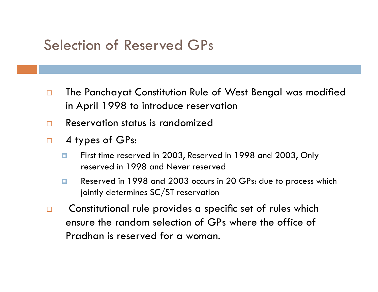#### Selection of Reserved GPs

- $\Box$ The Panchayat Constitution Rule of West Bengal was modified in April 1998 to introduce reservation
- $\Box$ Reservation status is randomized
- $\Box$  4 types of GPs:
	- $\Box$  First time reserved in 2003, Reserved in 1998 and 2003, Only reserved in 1998 and Never reserved
	- $\Box$  Reserved in 1998 and 2003 occurs in 20 GPs: due to process which jointly determines SC/ST reservation
- $\Box$ Constitutional rule provides a specific set of rules which ensure the random selection of GPs where the office of Pradhan is reserved for a woman.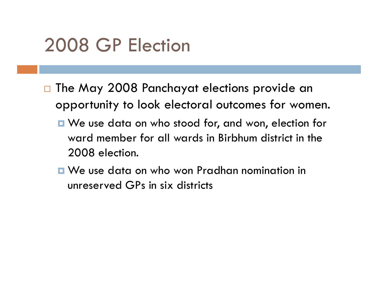# 2008 GP Election

- $\Box$  The May 2008 Panchayat elections provide an opportunity to look electoral outcomes for women.
	- We use data on who stood for, and won, election for ward member for all wards in Birbhum district in the 2008 election.
	- We use data on who won Pradhan nomination in<br>Unreserved GPs in six districts unreserved GPs in six districts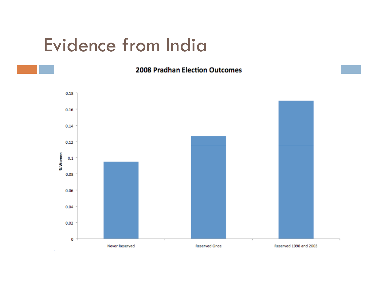## Evidence from India

#### **2008 Pradhan Election Outcomes**

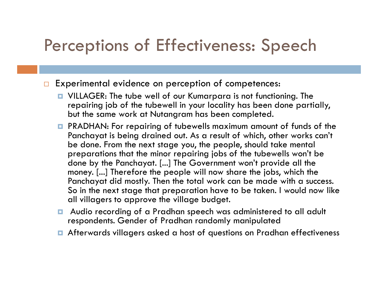#### Perceptions of Effectiveness: Speech

- $\Box$  Experimental evidence on perception of competences:
	- I VILLAGER: The tube well of our Kumarpara is not functioning. The<br>repairing job of the tubewell in your locality has been done partio repairing job of the tubewell in your locality has been done partially, but the same work at Nutangram has been completed.
	- **PRADHAN: For repairing of tubewells maximum amount of funds of the**<br>Panchayat is being drained out. As a result of which, other works can't Panchayat is being drained out. As a result of which, other works can't be done. From the next stage you, the people, should take mental preparations that the minor repairing jobs of the tubewells won't be<br>done by the Panchayat. [...] The Government won't provide all the done by the Panchayat. [...] The Government won't provide all the money. [...] Therefore the people will now share the jobs, which the Panchayat did mostly. Then the total work can be made with a success. Panchayat did mostly. Then the total work can be made with a success. So in the next stage that preparation have to be taken. I would now like all villagers to approve the village budget.
	- Audio recording of a Pradhan speech was administered to all adult<br>respondents. Gender of Pradhan randomly manipulated respondents. Gender of Pradhan randomly manipulated
	- Afterwards villagers asked a host of questions on Pradhan effectiveness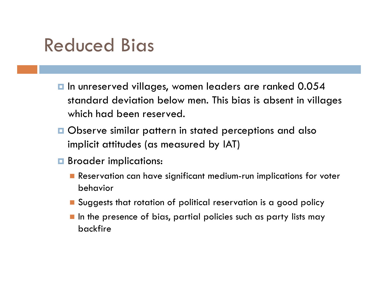### Reduced Bias

- **I** In unreserved villages, women leaders are ranked 0.054 standard deviation below men. This bias is absent in villages which had been reserved.
- **Q** Observe similar pattern in stated perceptions and also implicit attitudes (as measured by IAT)
- **B** Broader implications:
	- Reservation can have significant medium-run implications for voter behavior
	- Suggests that rotation of political reservation is a good policy
	- $\blacksquare$  In the presence of bias, partial policies such as party lists may backfire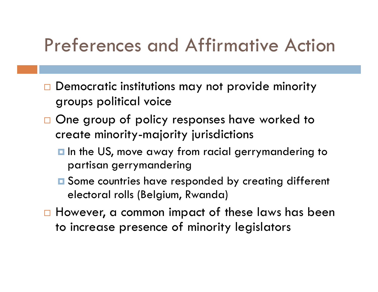## Preferences and Affirmative Action

- $\Box$  Democratic institutions may not provide minority groups political voice
- □ One group of policy responses have worked to create minority-majority jurisdictions
	- $\blacksquare$  In the US, move away from racial gerrymandering to partisan gerrymandering
	- **Q** Some countries have responded by creating different electoral rolls (Belgium, Rwanda)
- $\Box$  However, a common impact of these laws has been to increase presence of minority legislators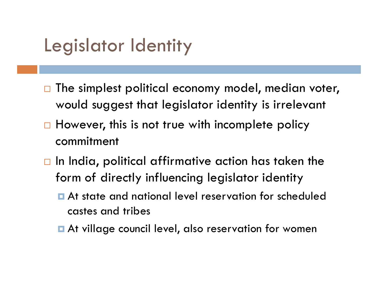# Legislator Identity

- $\Box$  The simplest political economy model, median voter, would suggest that legislator identity is irrelevant
- $\Box$  However, this is not true with incomplete policy commitment
- $\Box$  In India, political affirmative action has taken the form of directly influencing legislator identity
	- **At state and national level reservation for scheduled** castes and tribes
	- At village council level, also reservation for wome n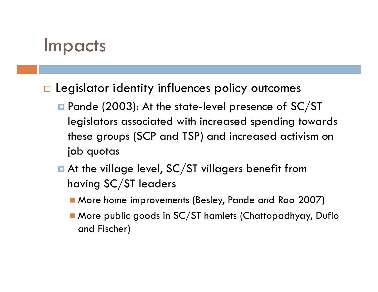#### Impacts

 $\Box$  Legislator identity influences policy outcomes

- Pande (2003): At the state-level presence of SC/ST legislators associated with increased spending towards these groups (SCP and TSP) and increased activism on job quotas
- $\blacksquare$  At the village level, SC/ST villagers benefit from having SC/ST leaders
	- More home improvements (Besley, Pande and Rao 2007)
	- More public goods in SC/ST hamlets (Chattopadhyay, Duflo and Fischer)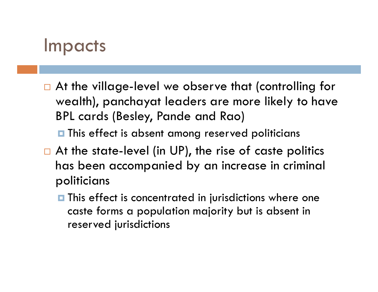#### Impacts

 $\Box$  At the village-level we observe that (controlling for wealth), panchayat leaders are more likely to have BPL cards (Besley, Pande and Rao)

 $\blacksquare$  This effect is absent among reserved politicians

- $\Box$  At the state-level (in UP), the rise of caste politics has been accompanied by an increase in criminal politicians
	- **This effect is concentrated in jurisdictions where one** caste forms a population majority but is absent in reserved jurisdictions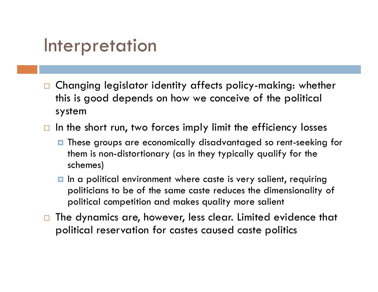#### Interpretation

- $\Box$  Changing legislator identity affects policy-making: whether this is good depends on how we conceive of the political system
- $\Box$ In the short run, two forces imply limit the efficiency losses
	- **T** These groups are economically disadvantaged so rent-seeking for them is non-distortionary (as in they typically qualify for the schemes)
	- **I** In a political environment where caste is very salient, requiring politicians to be of the same caste reduces the dimensionality of political competition and makes quality more salient
- $\Box$  The dynamics are, however, less clear. Limited evidence that political reservation for castes caused caste politics